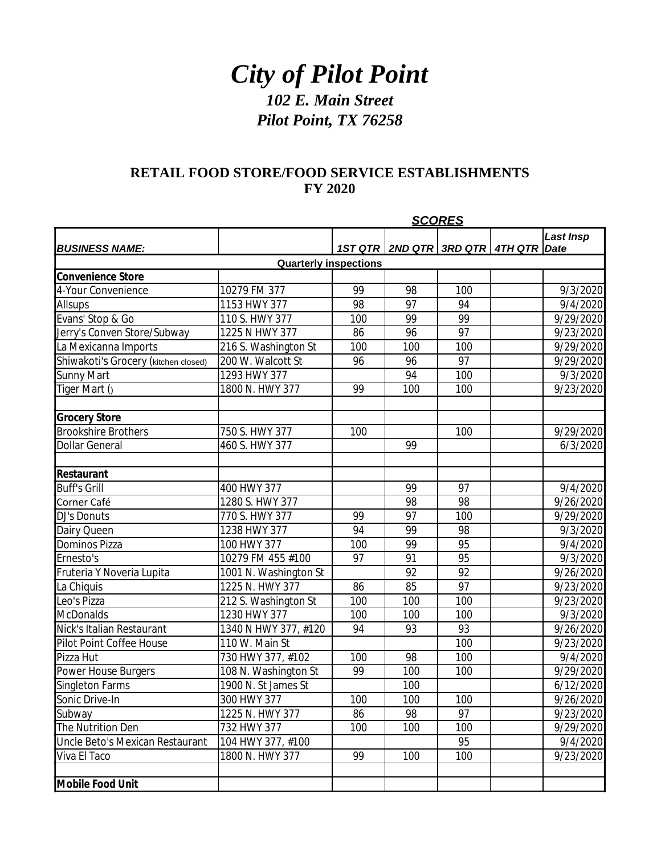## *City of Pilot Point*

## *102 E. Main Street Pilot Point, TX 76258*

## **RETAIL FOOD STORE/FOOD SERVICE ESTABLISHMENTS FY 2020**

|                                      | <b>SCORES</b>                |     |                                            |                 |  |                     |  |  |
|--------------------------------------|------------------------------|-----|--------------------------------------------|-----------------|--|---------------------|--|--|
| <b>BUSINESS NAME:</b>                |                              |     | 1ST QTR   2ND QTR   3RD QTR   4TH QTR Date |                 |  | <b>Last Insp</b>    |  |  |
|                                      | <b>Quarterly inspections</b> |     |                                            |                 |  |                     |  |  |
| <b>Convenience Store</b>             |                              |     |                                            |                 |  |                     |  |  |
| 4-Your Convenience                   | 10279 FM 377                 | 99  | 98                                         | 100             |  | 9/3/2020            |  |  |
| Allsups                              | 1153 HWY 377                 | 98  | 97                                         | $\overline{94}$ |  | 9/4/2020            |  |  |
| Evans' Stop & Go                     | 110 S. HWY 377               | 100 | 99                                         | 99              |  | 9/29/2020           |  |  |
| Jerry's Conven Store/Subway          | 1225 N HWY 377               | 86  | 96                                         | 97              |  | 9/23/2020           |  |  |
| La Mexicanna Imports                 | 216 S. Washington St         | 100 | 100                                        | 100             |  | 9/29/2020           |  |  |
| Shiwakoti's Grocery (kitchen closed) | 200 W. Walcott St            | 96  | 96                                         | 97              |  | 9/29/2020           |  |  |
| Sunny Mart                           | 1293 HWY 377                 |     | 94                                         | 100             |  | 9/3/2020            |  |  |
| Tiger Mart ()                        | 1800 N. HWY 377              | 99  | 100                                        | 100             |  | 9/23/2020           |  |  |
| <b>Grocery Store</b>                 |                              |     |                                            |                 |  |                     |  |  |
| <b>Brookshire Brothers</b>           | 750 S. HWY 377               | 100 |                                            | 100             |  | 9/29/2020           |  |  |
| <b>Dollar General</b>                | 460 S. HWY 377               |     | 99                                         |                 |  | 6/3/2020            |  |  |
| <b>Restaurant</b>                    |                              |     |                                            |                 |  |                     |  |  |
| <b>Buff's Grill</b>                  | 400 HWY 377                  |     | 99                                         | 97              |  | 9/4/2020            |  |  |
| Corner Café                          | 1280 S. HWY 377              |     | 98                                         | 98              |  | 9/26/2020           |  |  |
| DJ's Donuts                          | 770 S. HWY 377               | 99  | 97                                         | 100             |  | 9/29/2020           |  |  |
| Dairy Queen                          | 1238 HWY 377                 | 94  | 99                                         | 98              |  | 9/3/2020            |  |  |
| Dominos Pizza                        | 100 HWY 377                  | 100 | 99                                         | 95              |  | 9/4/2020            |  |  |
| Ernesto's                            | 10279 FM 455 #100            | 97  | 91                                         | 95              |  | 9/3/2020            |  |  |
| Fruteria Y Noveria Lupita            | 1001 N. Washington St        |     | 92                                         | $\overline{92}$ |  | 9/26/2020           |  |  |
| La Chiquis                           | 1225 N. HWY 377              | 86  | 85                                         | 97              |  | 9/23/2020           |  |  |
| Leo's Pizza                          | 212 S. Washington St         | 100 | 100                                        | 100             |  | 9/23/2020           |  |  |
| <b>McDonalds</b>                     | 1230 HWY 377                 | 100 | 100                                        | 100             |  | 9/3/2020            |  |  |
| Nick's Italian Restaurant            | 1340 N HWY 377, #120         | 94  | 93                                         | 93              |  | 9/26/2020           |  |  |
| Pilot Point Coffee House             | 110 W. Main St               |     |                                            | 100             |  | 9/23/2020           |  |  |
| Pizza Hut                            | 730 HWY 377, #102            | 100 | 98                                         | 100             |  | 9/4/2020            |  |  |
| Power House Burgers                  | 108 N. Washington St         | 99  | 100                                        | 100             |  | 9/29/2020           |  |  |
| Singleton Farms                      | 1900 N. St James St          |     | 100                                        |                 |  | 6/12/2020           |  |  |
| Sonic Drive-In                       | 300 HWY 377                  | 100 | 100                                        | 100             |  | $\frac{9}{26}/2020$ |  |  |
| Subway                               | 1225 N. HWY 377              | 86  | 98                                         | 97              |  | 9/23/2020           |  |  |
| The Nutrition Den                    | 732 HWY 377                  | 100 | 100                                        | 100             |  | 9/29/2020           |  |  |
| Uncle Beto's Mexican Restaurant      | 104 HWY 377, #100            |     |                                            | 95              |  | 9/4/2020            |  |  |
| Viva El Taco                         | 1800 N. HWY 377              | 99  | 100                                        | 100             |  | 9/23/2020           |  |  |
| <b>Mobile Food Unit</b>              |                              |     |                                            |                 |  |                     |  |  |